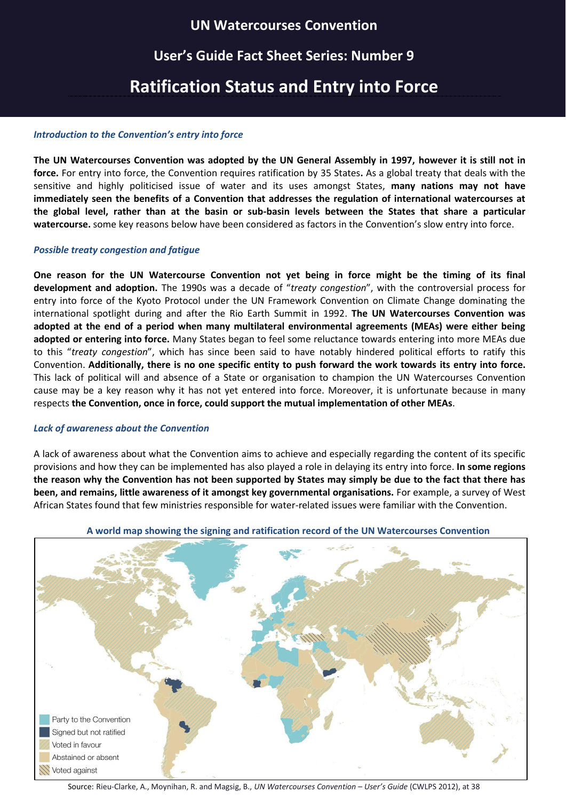### **UN Watercourses Convention**

## **User's Guide Fact Sheet Series: Number 9**

# **Ratification Status and Entry into Force**

### *Introduction to the Convention's entry into force*

**The UN Watercourses Convention was adopted by the UN General Assembly in 1997, however it is still not in force.** For entry into force, the Convention requires ratification by 35 States**.** As a global treaty that deals with the sensitive and highly politicised issue of water and its uses amongst States, **many nations may not have immediately seen the benefits of a Convention that addresses the regulation of international watercourses at the global level, rather than at the basin or sub-basin levels between the States that share a particular watercourse.** some key reasons below have been considered as factors in the Convention's slow entry into force.

### *Possible treaty congestion and fatigue*

**One reason for the UN Watercourse Convention not yet being in force might be the timing of its final development and adoption.** The 1990s was a decade of "*treaty congestion*", with the controversial process for entry into force of the Kyoto Protocol under the UN Framework Convention on Climate Change dominating the international spotlight during and after the Rio Earth Summit in 1992. **The UN Watercourses Convention was adopted at the end of a period when many multilateral environmental agreements (MEAs) were either being adopted or entering into force.** Many States began to feel some reluctance towards entering into more MEAs due to this "*treaty congestion*", which has since been said to have notably hindered political efforts to ratify this Convention. **Additionally, there is no one specific entity to push forward the work towards its entry into force.**  This lack of political will and absence of a State or organisation to champion the UN Watercourses Convention cause may be a key reason why it has not yet entered into force. Moreover, it is unfortunate because in many respects **the Convention, once in force, could support the mutual implementation of other MEAs**.

### *Lack of awareness about the Convention*

A lack of awareness about what the Convention aims to achieve and especially regarding the content of its specific provisions and how they can be implemented has also played a role in delaying its entry into force. **In some regions the reason why the Convention has not been supported by States may simply be due to the fact that there has been, and remains, little awareness of it amongst key governmental organisations.** For example, a survey of West African States found that few ministries responsible for water-related issues were familiar with the Convention.



### **A world map showing the signing and ratification record of the UN Watercourses Convention**

Source: Rieu-Clarke, A., Moynihan, R. and Magsig, B., *UN Watercourses Convention – User's Guide* (CWLPS 2012), at 38